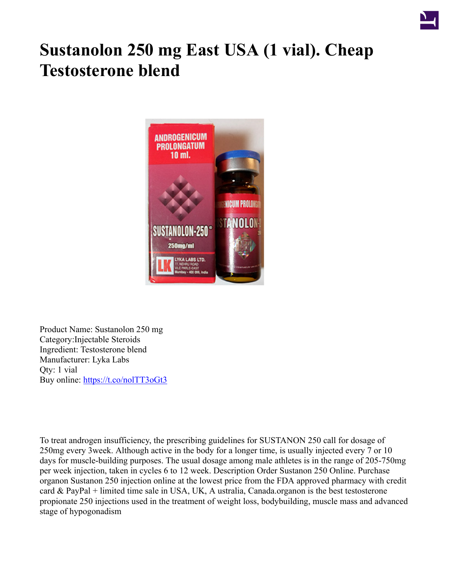

## **Sustanolon 250 mg East USA (1 vial). Cheap Testosterone blend**



Product Name: Sustanolon 250 mg Category:Injectable Steroids Ingredient: Testosterone blend Manufacturer: Lyka Labs Qty: 1 vial Buy online: <https://t.co/nolTT3oGt3>

To treat androgen insufficiency, the prescribing guidelines for SUSTANON 250 call for dosage of 250mg every 3week. Although active in the body for a longer time, is usually injected every 7 or 10 days for muscle-building purposes. The usual dosage among male athletes is in the range of 205-750mg per week injection, taken in cycles 6 to 12 week. Description Order Sustanon 250 Online. Purchase organon Sustanon 250 injection online at the lowest price from the FDA approved pharmacy with credit card & PayPal + limited time sale in USA, UK, A ustralia, Canada.organon is the best testosterone propionate 250 injections used in the treatment of weight loss, bodybuilding, muscle mass and advanced stage of hypogonadism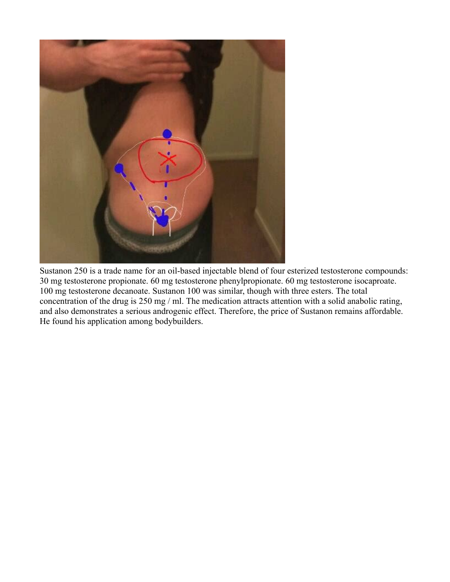

Sustanon 250 is a trade name for an oil-based injectable blend of four esterized testosterone compounds: 30 mg testosterone propionate. 60 mg testosterone phenylpropionate. 60 mg testosterone isocaproate. 100 mg testosterone decanoate. Sustanon 100 was similar, though with three esters. The total concentration of the drug is 250 mg / ml. The medication attracts attention with a solid anabolic rating, and also demonstrates a serious androgenic effect. Therefore, the price of Sustanon remains affordable. He found his application among bodybuilders.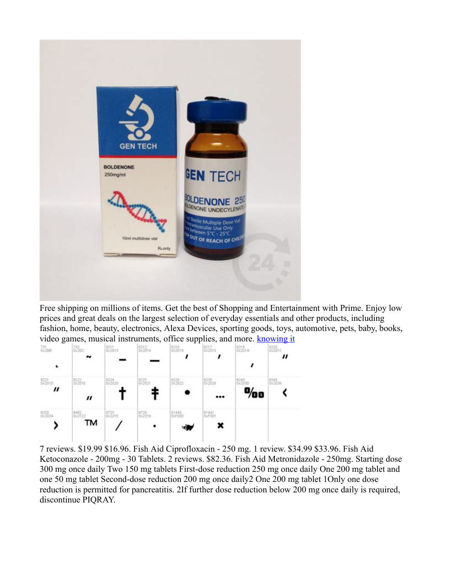

Free shipping on millions of items. Get the best of Shopping and Entertainment with Prime. Enjoy low prices and great deals on the largest selection of everyday essentials and other products, including fashion, home, beauty, electronics, Alexa Devices, sporting goods, toys, automotive, pets, baby, books, video games, musical instruments, office supplies, and more. **[knowing it](https://dochub.com/8sehun-ha/Zxz7E3jVBbY2D46VlWd2G8/cicco-dbol-10-buy-with-crypto-pdf)** 



7 reviews. \$19.99 \$16.96. Fish Aid Ciprofloxacin - 250 mg. 1 review. \$34.99 \$33.96. Fish Aid Ketoconazole - 200mg - 30 Tablets. 2 reviews. \$82.36. Fish Aid Metronidazole - 250mg. Starting dose 300 mg once daily Two 150 mg tablets First-dose reduction 250 mg once daily One 200 mg tablet and one 50 mg tablet Second-dose reduction 200 mg once daily2 One 200 mg tablet 1Only one dose reduction is permitted for pancreatitis. 2If further dose reduction below 200 mg once daily is required, discontinue PIQRAY.